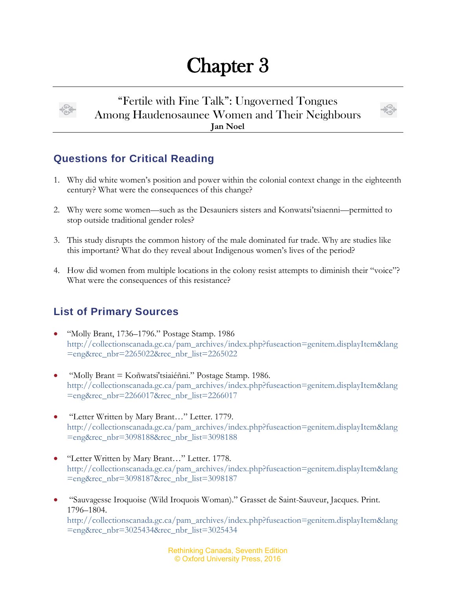## Chapter 3



"Fertile with Fine Talk": Ungoverned Tongues Among Haudenosaunee Women and Their Neighbours **Jan Noel**



## **Questions for Critical Reading**

- 1. Why did white women's position and power within the colonial context change in the eighteenth century? What were the consequences of this change?
- 2. Why were some women—such as the Desauniers sisters and Konwatsi'tsiaenni—permitted to stop outside traditional gender roles?
- 3. This study disrupts the common history of the male dominated fur trade. Why are studies like this important? What do they reveal about Indigenous women's lives of the period?
- 4. How did women from multiple locations in the colony resist attempts to diminish their "voice"? What were the consequences of this resistance?

## **List of Primary Sources**

- "Molly Brant, 1736–1796." Postage Stamp. 1986 [http://collectionscanada.gc.ca/pam\\_archives/index.php?fuseaction=genitem.displayItem&lang](http://collectionscanada.gc.ca/pam_archives/index.php?fuseaction=genitem.displayItem&lang=eng&rec_nbr=2265022&rec_nbr_list=2265022) [=eng&rec\\_nbr=2265022&rec\\_nbr\\_list=2265022](http://collectionscanada.gc.ca/pam_archives/index.php?fuseaction=genitem.displayItem&lang=eng&rec_nbr=2265022&rec_nbr_list=2265022)
- "Molly Brant = Koñwatsi'tsiaiéñni." Postage Stamp. 1986. [http://collectionscanada.gc.ca/pam\\_archives/index.php?fuseaction=genitem.displayItem&lang](http://collectionscanada.gc.ca/pam_archives/index.php?fuseaction=genitem.displayItem&lang=eng&rec_nbr=2266017&rec_nbr_list=2266017) [=eng&rec\\_nbr=2266017&rec\\_nbr\\_list=2266017](http://collectionscanada.gc.ca/pam_archives/index.php?fuseaction=genitem.displayItem&lang=eng&rec_nbr=2266017&rec_nbr_list=2266017)
- "Letter Written by Mary Brant…" Letter. 1779. [http://collectionscanada.gc.ca/pam\\_archives/index.php?fuseaction=genitem.displayItem&lang](http://collectionscanada.gc.ca/pam_archives/index.php?fuseaction=genitem.displayItem&lang=eng&rec_nbr=3098188&rec_nbr_list=3098188) [=eng&rec\\_nbr=3098188&rec\\_nbr\\_list=3098188](http://collectionscanada.gc.ca/pam_archives/index.php?fuseaction=genitem.displayItem&lang=eng&rec_nbr=3098188&rec_nbr_list=3098188)
- "Letter Written by Mary Brant…" Letter. 1778. [http://collectionscanada.gc.ca/pam\\_archives/index.php?fuseaction=genitem.displayItem&lang](http://collectionscanada.gc.ca/pam_archives/index.php?fuseaction=genitem.displayItem&lang=eng&rec_nbr=3098187&rec_nbr_list=3098187) [=eng&rec\\_nbr=3098187&rec\\_nbr\\_list=3098187](http://collectionscanada.gc.ca/pam_archives/index.php?fuseaction=genitem.displayItem&lang=eng&rec_nbr=3098187&rec_nbr_list=3098187)
- "Sauvagesse Iroquoise (Wild Iroquois Woman)." Grasset de Saint-Sauveur, Jacques. Print. 1796–1804. [http://collectionscanada.gc.ca/pam\\_archives/index.php?fuseaction=genitem.displayItem&lang](http://collectionscanada.gc.ca/pam_archives/index.php?fuseaction=genitem.displayItem&lang=eng&rec_nbr=3025434&rec_nbr_list=3025434) [=eng&rec\\_nbr=3025434&rec\\_nbr\\_list=3025434](http://collectionscanada.gc.ca/pam_archives/index.php?fuseaction=genitem.displayItem&lang=eng&rec_nbr=3025434&rec_nbr_list=3025434)

Rethinking Canada, Seventh Edition © Oxford University Press, 2016